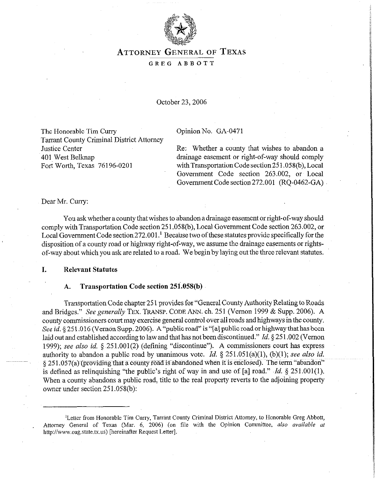

# **ATTORNEY** GENERAL OF **TEXAS**

### GREG ABBOTT

### October 23,2006

The Honorable Tim Curry Tarrant County Criminal District Attorney Justice Center 401 West Belknap Fort Worth, Texas 76196-0201

#### Opinion No. GA-0471

Re: Whether a county that wishes to abandon a drainage easement or right-of-way should comply with Transportation Code section 251.058(b), Local Government Code section 263.002, or Local Government Code section272.001 (RQ-0462-GA)

Dear Mr. Curry:

You ask whether a county that wishes to abandon a drainage easement or right-of-way should comply with Transportation Code section 251.058(b), Local Government Code section 263.002, or Local Government Code section  $272.001$ .<sup>1</sup> Because two of these statutes provide specifically for the disposition of a county road or highway right-of-way, we assume the drainage easements or rightsof-way about which you ask are related to a road. We begin by laying out the three relevant statutes.

#### **I. Relevant Statutes**

### **A. Transportation Code section 25i.O58(b)**

Transportation Code chapter 25 1 provides for "General County Authority Relating to Roads and Bridges." See generally TEX. TRANSP. CODE ANN. ch. 251 (Vernon 1999 & Supp. 2006). A county commissioners court may exercise general control over all roads and highways in the county. See *id.* § 251.016 (Vernon Supp. 2006). A "public road" is "[a] public road or highway that has been laid out and established according to law and that has not been discontinued." *Id.* § 251.002 (Vernon 1999); see also *id.* 5 251.001(2) (defining "discontinue"). A commissioners court has express authority to abandon a public road by unanimous vote. *Id. § 251.051(a)(l),* (b)(l); see also *id.*   $\frac{251.057(a)}{251.057(a)}$  (providing that a county road is abandoned when it is enclosed). The term "abandon" is defined as relinquishing "the public's right of way in and use of [a] road." *Id. 3 251.001(l).*  When a county abandons a public road, title to the real property reverts to the adjoining property owner under section 251.058(b):

<sup>&</sup>lt;sup>1</sup>Letter from Honorable Tim Curry, Tarrant County Criminal District Attorney, to Honorable Greg Abbott, Attorney General of Texas (Mar. 6, 2006) (on tile with the Opinion Committee, also *available at*  http://www.oag.state.tx.us) [hereinafter Request Letter].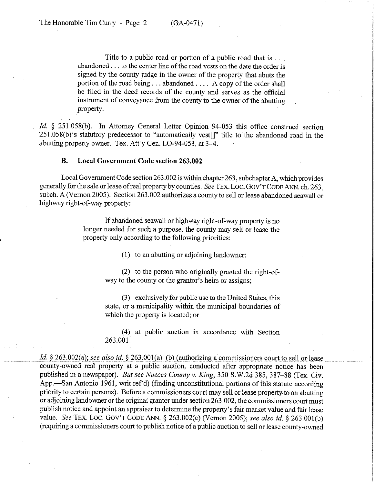Title to a public road or portion of a public road that is . . . abandoned  $\ldots$  to the center line of the road vests on the date the order is signed by the county judge in the owner of the property that abuts the portion of the road being...abandoned.... A copy of the order shall be filed in the deed records of the county and serves as the official instrument of conveyance from the county to the owner of the abutting property.

Id. § 251.058(b). In Attorney General Letter Opinion 94-053 this office construed section 251.058(b)'s statutory predecessor to "automatically vest[]" title to the abandoned road in the abutting property owner. Tex. Att'y Gen. LO-94-053, at 3-4.

### **B. Local Government Code section 263.002**

Local Government Code section 263.002 is within chapter 263, subchapter A, which provides generally for the sale or lease of real property by counties. See TEX. LOC. GOV'T CODE ANN. ch. 263, subch. A (Vernon 2005). Section 263.002 authorizes a county to sell or lease abandoned seawall or highway right-of-way property:

> If abandoned seawall or highway right-of-way property is no longer needed for such a purpose, the county may sell or lease the property only according to the following priorities:

> > (1) to an abutting or adjoining landowner;

(2) to the person who originally granted the right-ofway to the county or the grantor's heirs or assigns;

 $(3)$  exclusively for public use to the United States, this state, or a municipality within the municipal boundaries of which the property is located; or

(4) at public auction in accordance with Section 263.001.

 $~Id.$  § 263.002(a); see also id. § 263.001(a)–(b) (authorizing a commissioners court to sell or lease county-owned real property at a public auction, conducted after appropriate notice has been published in a newspaper). *But see Nueces County v. King*, 350 S.W.2d 385, 387–88 (Tex. Civ. App.—San Antonio 1961, writ ref<sup>o</sup>d) (finding unconstitutional portions of this statute according priority to certain persons). Before a commissioners court may sell or lease property to an abutting or adjoining landowner or the original grantor under section 263.002, the commissioners court must publish notice and appoint an appraiser to determine the property's fair market value and fair lease value. See TEX. LOC. GOV'T CODE ANN. § 263.002(c) (Vernon 2005); see also *id.* § 263.001(b) (requiring a commissioners court to publish notice of a'public auction to sell or lease county-owned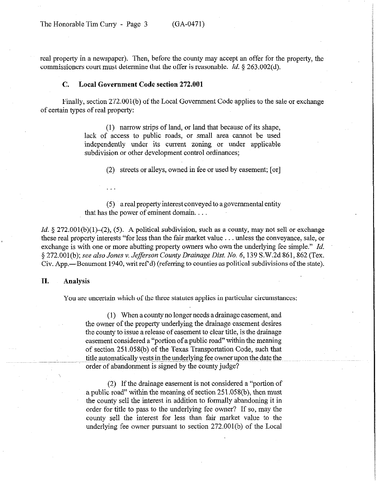real property in a newspaper). Then, before the county may accept an offer for the property, the commissioners court must determine that the offer is reasonable. *Id. 5* 263.002(d).

#### C. **Local Government Code section 272.001**

Finally, section 272.001(b) of the Local Government Code applies to the sale or exchange of certain types of real property:

> (1) narrow strips of land, or land that because of its shape, lack of access to public roads, or small area cannot be used independently under its current zoning or under applicable subdivision or other development control ordinances;

> > (2) streets or alleys, owned in fee or used by easement; [or]

(5) a real property interest conveyed to a governmental entity that has the power of eminent domain.

*Id.*  $\S$  272.001(b)(1)–(2), (5). A political subdivision, such as a county, may not sell or exchange these real property interests "for less than the fair market value  $\dots$  unless the conveyance, sale, or exchange is with one or more abutting property owners who own the underlying fee simple." *Id. §* 272.001(b); *see also Jones v. Jefferson County Drainage Dist. No. 6,* 139 S.W.2d 861,862 (Tex. Civ. App.—Beaumont 1940, writ ref'd) (referring to counties as political subdivisions of the state).

### **II. Analysis**

You are uncertain which of the three statutes applies in particular circumstances:

(1) When a county no longer needs a drainage easement, and the owner of the property underlying the drainage easement desires the county to issue a release of easement to clear title, is the drainage easement considered a "portion of a public road" witbin the meaning of section 251.058(b) of the Texas Transportation Code, such that title automatically vests in the underlying fee owner upon the date the order of abandonment is signed by the county judge?

(2) If the drainage easement is not considered a "portion of a public road" within the meaning of section 251.058(b), then must the county sell the interest in addition to formally abandoning it in order for title to pass to the underlying fee owner? If so, may the county sell the interest for less than fair market value to the underlying fee owner pursuant to section 272.001(b) of the Local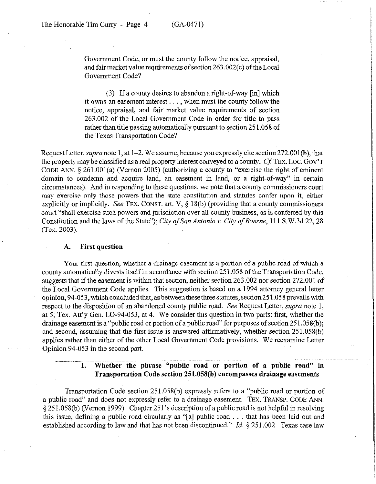Government Code, or must the county follow the notice, appraisal, and fair market value requirements of section 263.002(c) of the Local Government Code?

(3) If a county desires to abandon a right-of-way [in] which it owns an easement interest  $\dots$ , when must the county follow the notice, appraisal, and fair market value requirements of section 263.002 of the Local Government Code in order for title to pass rather than title passing automatically pursuant to section 251.058 of the Texas Transportation Code?

Request Letter, *supra* note 1, at  $1-2$ . We assume, because you expressly cite section 272.001(b), that the property may be classified as a real property interest conveyed to a county. Cf: TEX. **LOC. GOV'T**  CODE ANN. § 261.001(a) (Vernon 2005) (authorizing a county to "exercise the right of eminent domain to condemn and acquire land, an easement in land, or a right-of-way" in certain circumstances). And in responding to these questions, we note that a county commissioners court may exercise only those powers that the state constitution and statutes confer upon it, either explicitly or implicitly. See TEX. CONST. art. V, § 18(b) (providing that a county commissioners court "shall exercise such powers and jurisdiction over all county business, as is conferred by this Constitution and the laws of the State"); City of San Antonio v. City of Boerne, 111 S.W.3d 22, 28 (Tex. 2003).

### **A. First question**

Your first question, whether a drainage easement is a portion of a public road of which a county automatically divests itself in accordance with section 251.058 of the Transportation Code, suggests that if the easement is within that section, neither section 263.002 nor section 272.001 of the Local Government Code applies. This suggestion is based on a 1994 attorney general letter opinion, 94-053, which concluded that, as between these three statutes, section 251.058 prevails with respect to the disposition of an abandoned county public road. See Request Letter, *supra* note 1, at 5; Tex. Att'y Gen. LO-94-053, at 4. We consider this question in two parts: first, whether the drainage easement is a "public road or portion of a public road" for purposes of section 251.058(b); and second, assuming that the first issue is answered affirmatively, whether section 251.058(b) applies rather than either of the other Local Government Code provisions. We reexamine Letter Opinion 94-053 in the second part

## **1. Whether the phrase "public road or portion of a public road" in Transportation Code section 251.058(b) encompasses drainage easements**

Transportation Code section 251.058(b) expressly refers to a "public road or portion of a public road" and does not expressly refer to a drainage easement. **TEX. TRANSP. CODE ANN.**  5 25 1.058(b) (Vernon 1999). Chapter 25 l's description of a public road is not helpful in resolving this issue, defining a public road circularly as "[a] public road  $\ldots$  that has been laid out and established according to law and that has not been discontinued." *Id. 8 251.002.* Texas case law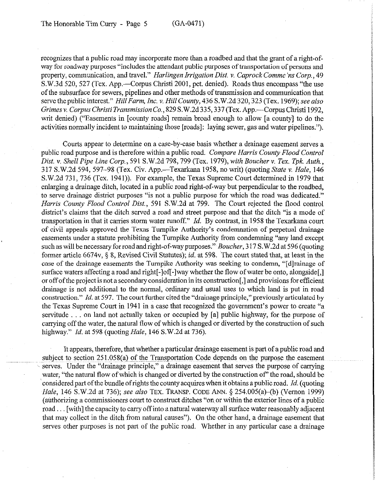recognizes that a public road may incorporate more than a roadbed and that the grant of a right-ofway for roadway purposes "includes the attendant public purposes of transportation of persons and property, communication, and travel." *Harlingen Irrigation Dist. v. Caprock Commc 'ns Corp., 49*  S.W.3d 520, 527 (Tex. App.—Corpus Christi 2001, pet. denied). Roads thus encompass "the use of the subsurface for sewers, pipelines and other methods of transmission and communication that serve the public interest." *Hill Farm, Inc. v. Hill County,* 436 S.W.2d 320, 323 (Tex. 1969); see also *Grimes Y. Corpus Christi Transmission* Co., 829 S.W.2d 335,337 (Tex. App.-Corpus Christi 1992, writ denied) ("Easements in [county roads] remain broad enough to allow [a county] to do the activities normally incident to maintaining those [roads]: laying sewer, gas and water pipelines.").

Courts appear to determine on a case-by-case basis whether a drainage easement serves a public road purpose and is therefore within a public road. *Compare Harris County Flood Control Dist. v. Shell Pipe Line Corp., 591* S.W.2d *798,799 (Tex.* 1979), *with Boucher v. Tex. Tpk. Auth.,*  317 S.W.2d 594, 597-98 (Tex. Civ. App.-Texarkana 1958, no writ) (quoting *State v. Hale, 146*  S.W.2d 731, 736 (Tex. 1941)). For example, the Texas Supreme Court determined in 1979 that enlarging a drainage ditch, located in a public road right-of-way but perpendicular to the roadbed, to serve drainage district purposes "is not a public purpose for which the road was dedicated." *Harris County Flood Control Dist.,* 591 S.W.2d at 799. The Court rejected the flood control district's claims that the ditch served a road and street purpose and that the ditch "is a mode of transportation in that it carries storm water runoff." *Id.* By contrast, in 1958 the Texarkana court of civil appeals approved the Texas Turnpike Authority's condemnation of perpetual drainage easements under a statute prohibiting the Turnpike Authority from condemning "any land except such as will be necessary for road and right-of-way purposes."~ *Boucher,* 3 17 S.W.2d at 596 (quoting former article 6674v, § 8, Revised Civil Statutes), *id.* at 598. The court stated that, at least in the case of the drainage easements the Turnpike Authority was seeking to condemn, "[dlrainage of surface waters affecting a road and right[-]of[-]way whether the flow of water be onto, alongside[,] or off ofthe project is not a secondary consideration in its construction[,] and provisions for efficient drainage is not additional to the normal, ordinary and usual uses to which land is put in road construction." *Id.* at 597. The court further cited the "drainage principle," previously articulated by the Texas Supreme Court in 1941 in a case that recognized the government's power to create "a servitude  $\ldots$  on land not actually taken or occupied by [a] public highway, for the purpose of carrying off the water, the natural flow of which is changed or diverted by the construction of such highway." *Id.* at 598 (quoting *Hale,* 146 S.W.2d at 736).

It appears, therefore, that whether a particular drainage easement is part of a public road and subject to section  $251.058(a)$  of the Transportation Code depends on the purpose the easement serves. Under the "drainage principle," a drainage easement that serves the purpose of carrying water, "the natural flow of which is changed or diverted by the construction of" the road, should be 'considered part ofthe bundle ofrights the county acquires when it obtains a public road. *Id.* (quoting *Hale,* 146 S.W.2d at 736); see *also* **TEX. TRANSP. CODE** ANN. 8 254.005(a)-(b) (Vernon 1999) (authorizing a commissioners court to construct ditches "on.or within the exterior lines of a public road ... [with] the capacity to carry off into a natural waterway all surface water reasonably adjacent that may collect in the ditch from natural causes"). On the other hand, a drainage easement that serves other purposes is not part of the public road. Whether in any particular case a drainage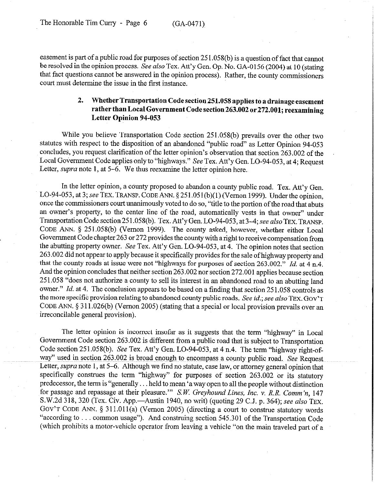easement is part of *a* public road for purposes of section 25 1.058(b) is a question of fact that cannot be resolved in the opinion process. See also Tex. Att'y Gen. Op. No. GA-0156 (2004) at 10 (stating that fact questions cannot be answered in the opinion process). Rather, the county commissioners court must determine the issue in the first instance.

# **2. Whether Transportation Code section 251.058 applies to a drainage easement rather than Local Government Code section 263.002 or272.001; reexamining Letter Opinion 94-053**

While you believe Transportation Code section 251.058(b) prevails over the other two statutes with respect to the disposition of an abandoned "public road" as Letter Opinion 94-053 concludes, you request clarification of the letter opinion's observation that section 263.002 of the Local Government Code applies only to "highways." See Tex. Att'y Gen. LO-94-053, at 4; Request Letter, *supra* note 1, at 5–6. We thus reexamine the letter opinion here.

In the letter opinion, a county proposed to abandon a county public road. Tex. Att'y Gen. LO-94-053, at 3; see TEX. TRANSP. CODE ANN. § 251.051(b)(1) (Vernon 1999). Under the opinion, once the commissioners court unanimously voted to do so, "title to the portion of the road that abuts an owner's property, to the center line of the road, automatically vests in that owner" under Transportation Code section 25 1.058(b). Tex. Att'y Gen. LO-94-053, at 3-4; see also **TEX. TRANSP. CODE** ANN. § 251.058(b) (Vernon 1999). The county asked, however, whether either Local Government Code chapter 263 or 272 provides the county with a right to receive,compensation from the abutting property owner. See Tex. Att'y Gen. LO-94-053, at 4. The opinion notes that section 263.002 did not appear to apply because it specifically provides for the sale of highway property and that the county roads at issue were not "highways for purposes of section 263.002." *Id.* at 4 n.4. And the opinion concludes that neither section 263.002 nor section 272.001 applies because section 251.058 "does not authorize a county to sell its interest in an abandoned road to an abutting land owner." *Id.* at 4. The conclusion appears to be based on a finding that section 251.058 controls as the more specific provision relating to abandoned county public roads. See *id.; see also* **TEX. GOV'T CODE** ANN. 5 3 11.026(b) (Vernon 2005) (stating that a special or local provision prevails over an irreconcilable general provision).

The letter opinion is incorrect insofar as it suggests that the term "highway" in Local Government Code section 263.002 is different from a public road that is subject to Transportation Code section 251.058(b). See Tex. Att'y Gen. LO-94-053, at 4 n.4. The term "highway right-ofway" used in section 263.002 is broad enough to encompass a county public road. See Request Letter, *supra* note 1, at 5-6. Although we find no statute, case law, or attorney general opinion that specifically construes the term "highway" for purposes of section 263.002 or its statutory predecessor, the term is "generally. . held to mean 'a way open to all the people without distinction for passage and repassage at their pleasure."" *S.W. Greyhound Lines, Inc. v. R.R. Comm'n.* 147 S.W.2d 318, 320 (Tex. Civ. App.—Austin 1940, no writ) (quoting 29 C.J. p. 364); see also TEX. GOV'T CODE ANN. § 311.011(a) (Vernon 2005) (directing a court to construe statutory words "according to  $\ldots$  common usage"). And construing section 545.301 of the Transportation Code (which prohibits a motor-vehicle operator from leaving a vehicle "on the main traveled part of a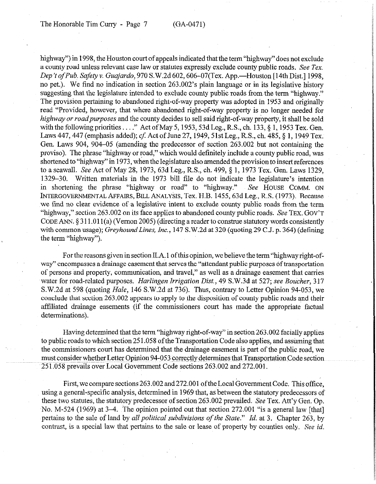highway") in 1998, the Houston court of appeals indicated that the term "highway" does not exclude a county road unless relevant case law or statutes expressly exclude county public roads. See Tex. *Dep't ofPub. Saftyv. Guajardo, 970* S.W.2d 602,606-07(Tex. App.-Houston [14th Dist.] 1998, no pet.). We find no indication in section 263.002's plain language or in its legislative history suggesting that the legislature intended to exclude county public roads from the term "highway." The provision pertaining to abandoned right-of-way property was adopted in 1953 and originally read "Provided, however, that where abandoned right-of-way property is no longer needed for *highway or roadpurposes* and the county decides to sell said right-of-way property, it shall be sold with the following priorities...." Act of May 5, 1953, 53d Leg., R.S., ch. 133,  $\S$  1, 1953 Tex. Gen. Laws 447, 447 (emphasis added); cf. Act of June 27, 1949, 51st Leg., R.S., ch. 485, § 1, 1949 Tex. Gen. Laws 904, 904-05 (aniending the predecessor of section 263.002 but not containing the proviso). The phrase "highway or road," which would definitely include a county public road, was shortened to "highway" in 1973, when the legislature also amended the provision to insert references to a seawall. See Act of May 28, 1973, 63d Leg., R.S., ch. 499, § 1, 1973 Tex. Gen. Laws 1329, 1329-30. Written materials in the 1973 bill file do not indicate the legislature's intention in shortening the phrase "highway or road" to "highway." See HOUSE COMM. ON INTERGOVERNMENTAL AFFAIRS, BILL ANALYSIS, Tex. H.B. 1455,63d Leg., R.S. (1973). Because we find no clear evidence of a legislative intent to exclude county public roads from the term "highway," section 263.002 on its face applies to abandoned county public roads. See TEX. GOV'T CODE ANN.  $\S 311.011(a)$  (Vernon 2005) (directing a reader to construe statutory words consistently with common usage); *Greyhound Lines, Inc.*, 147 S.W.2d at 320 (quoting 29 C.J. p. 364) (defining the term "highway").

For the reasons given in section 1I.A. 1 of this opinion, we believe the term "highway right-ofway" encompasses a drainage easement that serves the "attendant public purposes of transportation of persons and property, communication, and travel," as well as a drainage easement that carries water for road-related purposes. *Harlingen Irrigation Dist.*, 49 S.W.3d at 527; see Boucher, 317 S.W.2d at 598 (quoting *Hale,* 146 S.W.2d at 736). Thus, contrary to Letter Opinion 94-053, we conclude that section 263.002 appears to apply to the disposition of county public roads and their affiliated drainage easements (if the commissioners court has made the appropriate factual determinations).

Having determined that the term "highway right-of-way" in section 263.002 facially applies to public roads to which section 251.058 of the Transportation Code also applies, and assuming that the commissioners court has determined that the drainage easement is part of the public road, we must consider whether Letter Opinion 94-053 correctly determines that Transportation Code section 251.058 prevails over Local Government Code sections 263.002 and 272.001.

First, we compare sections 263.002 and 272.001 of the Local Government Code. This office, using a general-specific analysis, determined in 1969 that, as between the statutory predecessors of these two statutes, the statutory predecessor of section 263.002 prevailed. See Tex. Att'y Gen. Op. ~No. M-524 (1969) at 3-4. The opinion pointed out that section 272.001 "is a general law [that] pertains to the *sale* of land by *all political subdivisions of the State." Id.* at 3. Chapter 263, by contrast, is a special law that pertains to the sale or lease of property by counties only. See *id.*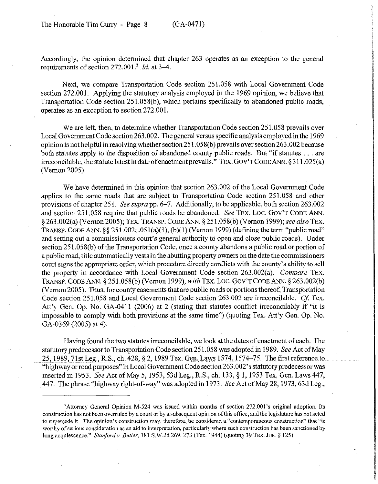Accordingly, the opinion determined that chapter 263 operates as an exception to the general requirements of section  $272.001$ <sup>2</sup> *Id.* at 3–4.

Next, we compare Transportation Code section 251.058 with Local Government Code section 272.001. Applying the statutory analysis employed in the 1969 opinion, we believe that Transportation Code section 251.058(b), which pertains specifically to abandoned public roads, operates as an exception to section 272.001.

We are left, then, to determine whether Transportation Code section 251.058 prevails over Local Government Code section 263.002. The general versus specific analysis employed in the 1969 opinion is not helpful in resolving whether section  $251.058(b)$  prevails over section  $263.002$  because both statutes apply to the disposition of abandoned county public roads. But "if statutes  $\dots$  are irreconcilable, the statute latest in date of enactment prevails." TEX. GOV'T CODE ANN. 5 3 11.025(a) (Vernon 2005).

We have determined in this opinion that section 263.002 of the Local Government Code applies to the same roads that are subject to Transportation Code section 251.058 and other provisions of chapter 251. See suprapp. 6-7. Additionally, to be applicable, both section 263.002 and section 251.058 require that public roads be abandoned. See TEX. LOC. GOV'T CODE ANN. § 263.002(a) (Vernon 2005); TEX. TRANSP. CODE ANN. § 251.058(b) (Vernon 1999); see also TEX. TRANSP. CODE ANN.  $\S\S 251.002; .051(a)(1), (b)(1)$  (Vernon 1999) (defining the term "public road" and setting out a commissioners court's general authority to open and close public roads). Under section 251.058(b) of the Transportation Code, once a county abandons a public road or portion of a public road, title automatically vests in the abutting property owners on the date the commissioners court signs the appropriate order, which procedure directly conflicts with the county's ability to sell the property in accordance with Local Government Code section 263.002(a). *Compare* TEX. TRANSP. CODE ANN. § 251.058(b) (Vernon 1999), *with* TEX. LOC. GOV'T CODE ANN. § 263.002(b) (Vernon 2005). Thus, for county easements that are public roads or portions thereof, Transportation Code section 251.058 and Local Government Code section 263.002 are irreconcilable. Cf. Tex. Att'y Gen. Op. No. GA-0411 (2006) at 2 (stating that statutes conflict irreconcilably if "it is impossible to comply with both provisions at the same time") (quoting Tex. Att'y Gen. Op. No. GA-0369 (2005) at 4).

Having found the two statutes irreconcilable, we look at the dates of enactment of each. The statutory predecessor to Transportation Code section 251.058 was adopted in 1989. See Act of May 25, 1989, 71st Leg., R.S., ch. 428, § 2, 1989 Tex. Gen. Laws 1574, 1574-75. The first reference to "highway or road purposes" in Local Government Code section 263.002's statutory predecessor was inserted in 1953. See Act of May 5, 1953, 53d Leg., R.S., ch. 133, § 1, 1953 Tex. Gen. Laws 447, 447. The phrase "highway right-of-way" was adopted in 1973. See Act of May 28,1973,63d Leg.,

<sup>2</sup>Attomey General Opinion M-524 was issued within months of section 272.001's original adoption. Its construction has not been overruled by a court or by a subsequent opinion ofthis office, and the legislature has not acted to supersede it. The opinion's construction may, therefore, be considered a "contemporaneous construction" that "is worthy of serious consideration as an aid to interpretation, particularly where such construction has been sanctioned by long acquiescence." *Sfanfordv. Butler,* 181 S.W.2d 269,273 (Tex. 1944) (quoting 39 **TEX.** JUR. 5 125).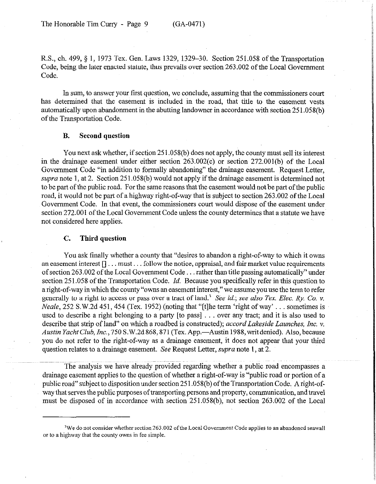R.S., ch. 499, 8 1, 1973 Tex. Gen. Laws 1329, 1329-30. Section 251.058 of the Transportation Code, being the later enacted statute, thus prevails over section 263.002 of the Local Government Code.

In sum, to answer your first question, we conclude, assuming that the commissioners court has determined that the easement is included in the road, that title to the easement vests automatically upon abandonment in the abutting landowner in accordance with section 251.058(b) of the Transportation Code.

### **B. Second question**

You next ask whether, if section 25 1.058(b) does not apply, the county must sell its interest in the drainage easement under either section 263.002(c) or section 272.001(b) of the Local Government Code "in addition to formally abandoning" the drainage easement. Request Letter, supra note 1, at 2. Section 251.058(b) would not apply if the drainage easement is determined not to be part of the public road. For fhe same reasons that the easement would not be part of the public road, it would not be part of a highway right-of-way that is subject to section 263.002 of the Local Government Code. In that event, the commissioners court would dispose of the easement under section 272.001 of the Local Government Code unless the county determines that a statute we have not considered here applies.

### **C. Third question**

You ask finally whether a county that "desires to abandon a right-of-way to which it owns an easement interest  $[1 \dots$  must $\dots$  follow the notice, appraisal, and fair market value requirements of section 263.002 of the Local Government Code . . . rather than title passing automatically" under section 25 1.058 of the Transportation Code. *Id.* Because you specifically refer in this question to a right-of-way in which the county "owns an easement interest," we assume you use the term to refer generally to a right to access or pass over a tract of land.) See *id.; see also Tex. Elec. Ry. Co. v. Neale*,  $252$  S.W.2d 451, 454 (Tex. 1952) (noting that "[t]he term 'right of way'  $\ldots$  sometimes is used to describe a right belonging to a party  $[$  to pass $] \ldots$  over any tract; and it is also used to describe that strip of land" on which a roadbed is constructed); *accord Lakeside Launches, Inc. v. Austin* Yacht *Club, Inc., 750* S.W.2d868,871 (Tex. App.-Austin 1988,writdenied). Also, because you do not refer to the right-of-way as a drainage easement, it does not appear that your third question relates to a drainage easement. See Request Letter, *supra* **note 1,** at 2.

The analysis we have already provided regarding whether a public road encompasses a drainage easement applies to the question of whether a right-of-way is "public road or portion of a public road" subject to disposition under section25 1.058(b) of the Transportation Code. A right-ofway that serves the public purposes of transporting persons and property, communication, and travel must be disposed of in accordance with section 251.058(b), not section 263.002 of the Local

<sup>&</sup>lt;sup>3</sup>We do not consider whether section 263.002 of the Local Government Code applies to an abandoned seawall or to a highway that the county owns in fee simple.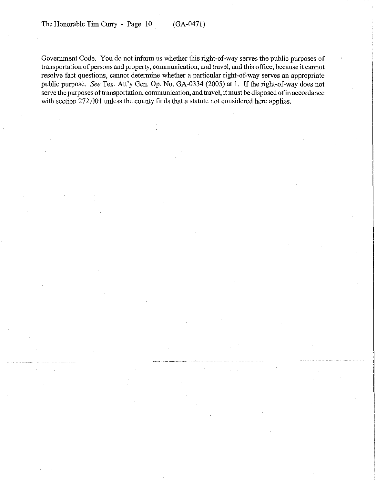Government Code. You do not inform us whether this right-of-way serves the public purposes of transportation of persons and property, communication, and travel, and this office, because it cannot resolve fact questions, cannot determine whether a particular right-of-way serves an appropriate public purpose. See Tex. Att'y Gen. Op. No. GA-0334 (2005) at 1. If the right-of-way does not serve the purposes of transportation, communication, and travel, it must be disposed of in accordance with section 272.001 unless the county finds that a statute not considered here applies.